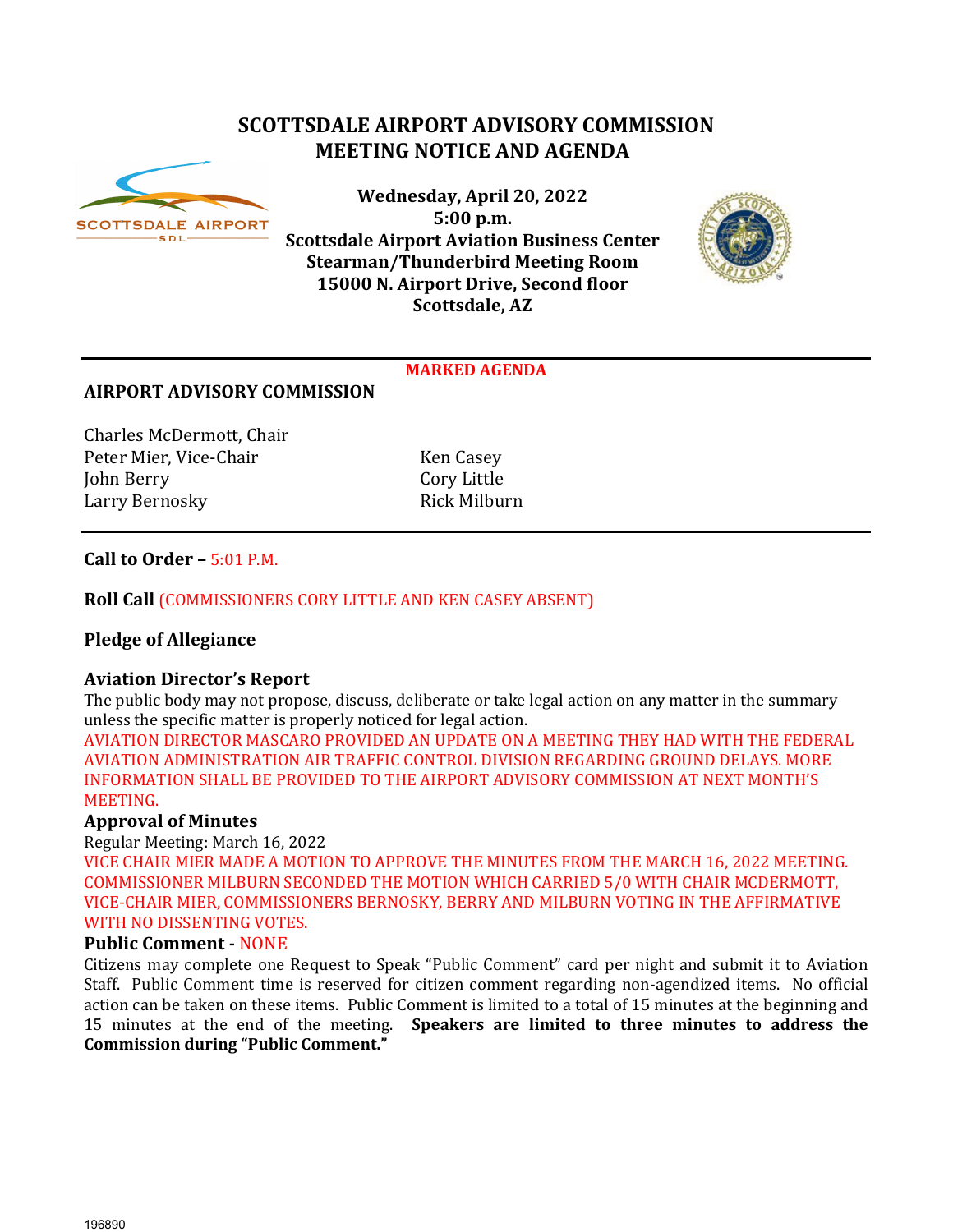# **SCOTTSDALE AIRPORT ADVISORY COMMISSION MEETING NOTICE AND AGENDA**



**Wednesday, April 20, 2022 5:00 p.m. Scottsdale Airport Aviation Business Center Stearman/Thunderbird Meeting Room 15000 N. Airport Drive, Second floor Scottsdale, AZ**



#### **MARKED AGENDA**

## **AIRPORT ADVISORY COMMISSION**

Charles McDermott, Chair Peter Mier, Vice-Chair Ken Casey<br>
John Berry Cory Little John Berry Cory Little Larry Bernosky

## **Call to Order –** 5:01 P.M.

## **Roll Call** (COMMISSIONERS CORY LITTLE AND KEN CASEY ABSENT)

# **Pledge of Allegiance**

## **Aviation Director's Report**

The public body may not propose, discuss, deliberate or take legal action on any matter in the summary unless the specific matter is properly noticed for legal action.

AVIATION DIRECTOR MASCARO PROVIDED AN UPDATE ON A MEETING THEY HAD WITH THE FEDERAL AVIATION ADMINISTRATION AIR TRAFFIC CONTROL DIVISION REGARDING GROUND DELAYS. MORE INFORMATION SHALL BE PROVIDED TO THE AIRPORT ADVISORY COMMISSION AT NEXT MONTH'S MEETING.

## **Approval of Minutes**

Regular Meeting: March 16, 2022

VICE CHAIR MIER MADE A MOTION TO APPROVE THE MINUTES FROM THE MARCH 16, 2022 MEETING. COMMISSIONER MILBURN SECONDED THE MOTION WHICH CARRIED 5/0 WITH CHAIR MCDERMOTT, VICE-CHAIR MIER, COMMISSIONERS BERNOSKY, BERRY AND MILBURN VOTING IN THE AFFIRMATIVE WITH NO DISSENTING VOTES.

## **Public Comment -** NONE

Citizens may complete one Request to Speak "Public Comment" card per night and submit it to Aviation Staff. Public Comment time is reserved for citizen comment regarding non-agendized items. No official action can be taken on these items. Public Comment is limited to a total of 15 minutes at the beginning and 15 minutes at the end of the meeting. **Speakers are limited to three minutes to address the Commission during "Public Comment."**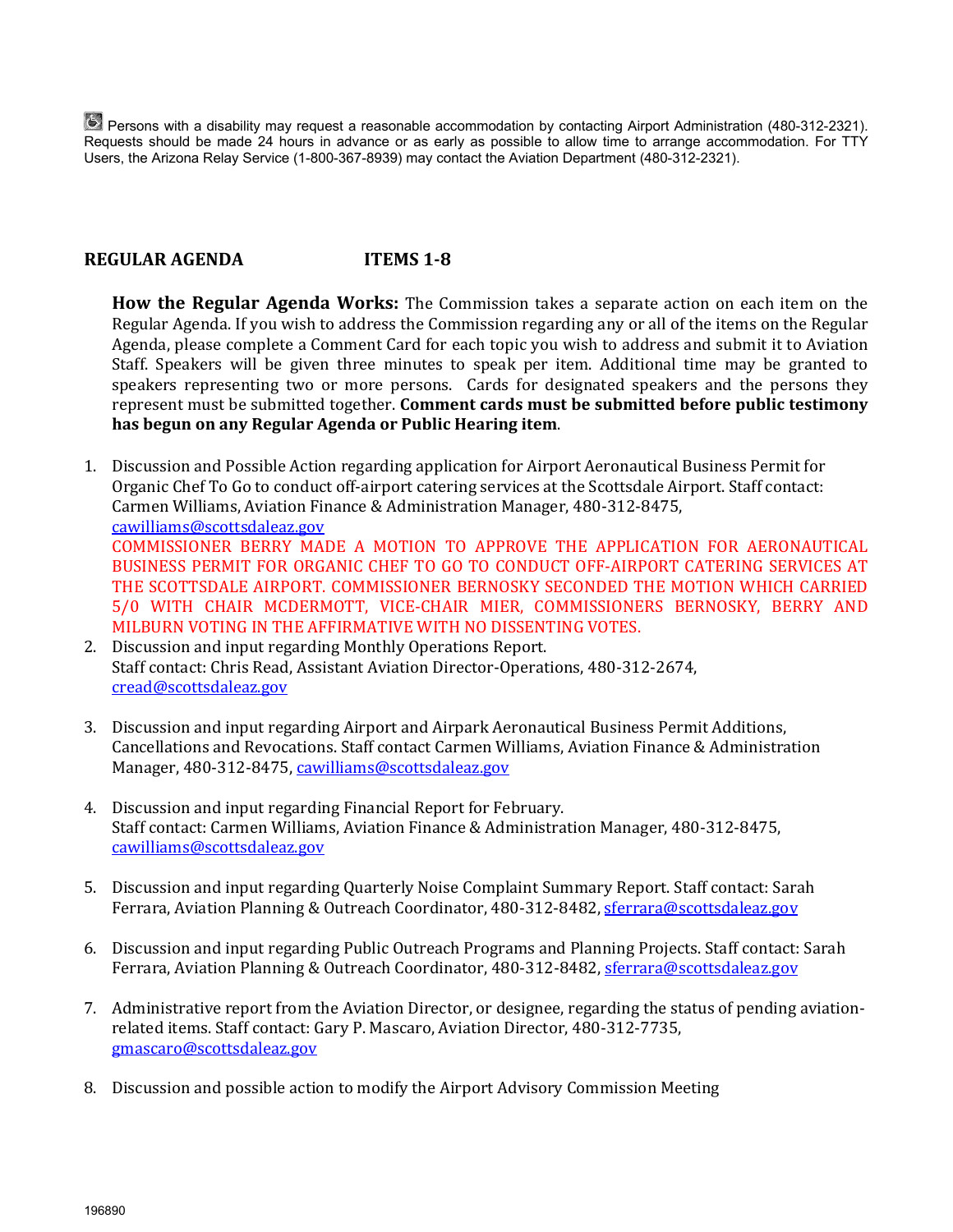Persons with a disability may request a reasonable accommodation by contacting Airport Administration (480-312-2321). Requests should be made 24 hours in advance or as early as possible to allow time to arrange accommodation. For TTY Users, the Arizona Relay Service (1-800-367-8939) may contact the Aviation Department (480-312-2321).

# **REGULAR AGENDA ITEMS 1-8**

**How the Regular Agenda Works:** The Commission takes a separate action on each item on the Regular Agenda. If you wish to address the Commission regarding any or all of the items on the Regular Agenda, please complete a Comment Card for each topic you wish to address and submit it to Aviation Staff. Speakers will be given three minutes to speak per item. Additional time may be granted to speakers representing two or more persons. Cards for designated speakers and the persons they represent must be submitted together. **Comment cards must be submitted before public testimony has begun on any Regular Agenda or Public Hearing item**.

- 1. Discussion and Possible Action regarding application for Airport Aeronautical Business Permit for Organic Chef To Go to conduct off-airport catering services at the Scottsdale Airport. Staff contact: Carmen Williams, Aviation Finance & Administration Manager, 480-312-8475, [cawilliams@scottsdaleaz.gov](mailto:cawilliams@scottsdaleaz.gov)  COMMISSIONER BERRY MADE A MOTION TO APPROVE THE APPLICATION FOR AERONAUTICAL BUSINESS PERMIT FOR ORGANIC CHEF TO GO TO CONDUCT OFF-AIRPORT CATERING SERVICES AT THE SCOTTSDALE AIRPORT. COMMISSIONER BERNOSKY SECONDED THE MOTION WHICH CARRIED 5/0 WITH CHAIR MCDERMOTT, VICE-CHAIR MIER, COMMISSIONERS BERNOSKY, BERRY AND MILBURN VOTING IN THE AFFIRMATIVE WITH NO DISSENTING VOTES.
- 2. Discussion and input regarding Monthly Operations Report. Staff contact: Chris Read, Assistant Aviation Director-Operations, 480-312-2674, [cread@scottsdaleaz.gov](mailto:cread@scottsdaleaz.gov)
- 3. Discussion and input regarding Airport and Airpark Aeronautical Business Permit Additions, Cancellations and Revocations. Staff contact Carmen Williams, Aviation Finance & Administration Manager, 480-312-8475, cawilliams@scottsdaleaz.gov
- 4. Discussion and input regarding Financial Report for February. Staff contact: Carmen Williams, Aviation Finance & Administration Manager, 480-312-8475, [cawilliams@scottsdaleaz.gov](mailto:cawilliams@scottsdaleaz.gov)
- 5. Discussion and input regarding Quarterly Noise Complaint Summary Report. Staff contact: Sarah Ferrara, Aviation Planning & Outreach Coordinator, 480-312-8482[, sferrara@scottsdaleaz.gov](mailto:sferrara@scottsdaleaz.gov)
- 6. Discussion and input regarding Public Outreach Programs and Planning Projects. Staff contact: Sarah Ferrara, Aviation Planning & Outreach Coordinator, 480-312-8482[, sferrara@scottsdaleaz.gov](mailto:sferrara@scottsdaleaz.gov)
- 7. Administrative report from the Aviation Director, or designee, regarding the status of pending aviationrelated items. Staff contact: Gary P. Mascaro, Aviation Director, 480-312-7735, [gmascaro@scottsdaleaz.gov](mailto:gmascaro@scottsdaleaz.gov)
- 8. Discussion and possible action to modify the Airport Advisory Commission Meeting